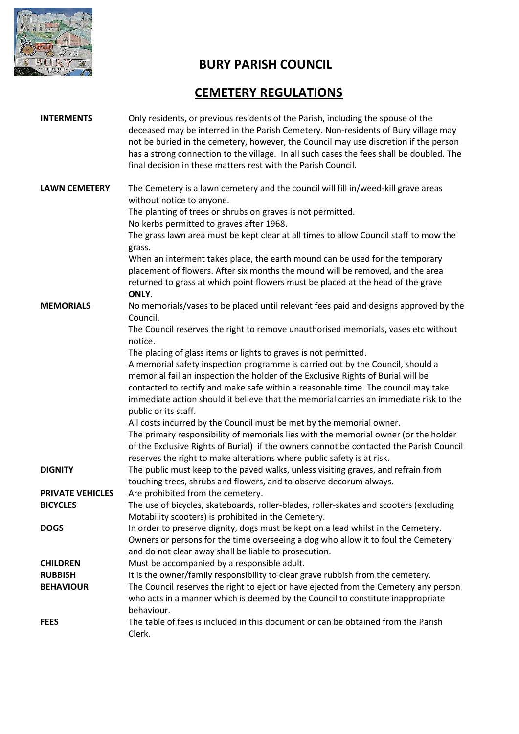

# **BURY PARISH COUNCIL**

## **CEMETERY REGULATIONS**

| <b>INTERMENTS</b>       | Only residents, or previous residents of the Parish, including the spouse of the<br>deceased may be interred in the Parish Cemetery. Non-residents of Bury village may<br>not be buried in the cemetery, however, the Council may use discretion if the person<br>has a strong connection to the village. In all such cases the fees shall be doubled. The<br>final decision in these matters rest with the Parish Council. |
|-------------------------|-----------------------------------------------------------------------------------------------------------------------------------------------------------------------------------------------------------------------------------------------------------------------------------------------------------------------------------------------------------------------------------------------------------------------------|
| <b>LAWN CEMETERY</b>    | The Cemetery is a lawn cemetery and the council will fill in/weed-kill grave areas                                                                                                                                                                                                                                                                                                                                          |
|                         | without notice to anyone.                                                                                                                                                                                                                                                                                                                                                                                                   |
|                         | The planting of trees or shrubs on graves is not permitted.<br>No kerbs permitted to graves after 1968.                                                                                                                                                                                                                                                                                                                     |
|                         | The grass lawn area must be kept clear at all times to allow Council staff to mow the                                                                                                                                                                                                                                                                                                                                       |
|                         | grass.                                                                                                                                                                                                                                                                                                                                                                                                                      |
|                         | When an interment takes place, the earth mound can be used for the temporary                                                                                                                                                                                                                                                                                                                                                |
|                         | placement of flowers. After six months the mound will be removed, and the area                                                                                                                                                                                                                                                                                                                                              |
|                         | returned to grass at which point flowers must be placed at the head of the grave<br>ONLY.                                                                                                                                                                                                                                                                                                                                   |
| <b>MEMORIALS</b>        | No memorials/vases to be placed until relevant fees paid and designs approved by the                                                                                                                                                                                                                                                                                                                                        |
|                         | Council.                                                                                                                                                                                                                                                                                                                                                                                                                    |
|                         | The Council reserves the right to remove unauthorised memorials, vases etc without<br>notice.                                                                                                                                                                                                                                                                                                                               |
|                         | The placing of glass items or lights to graves is not permitted.                                                                                                                                                                                                                                                                                                                                                            |
|                         | A memorial safety inspection programme is carried out by the Council, should a                                                                                                                                                                                                                                                                                                                                              |
|                         | memorial fail an inspection the holder of the Exclusive Rights of Burial will be                                                                                                                                                                                                                                                                                                                                            |
|                         | contacted to rectify and make safe within a reasonable time. The council may take                                                                                                                                                                                                                                                                                                                                           |
|                         | immediate action should it believe that the memorial carries an immediate risk to the<br>public or its staff.                                                                                                                                                                                                                                                                                                               |
|                         | All costs incurred by the Council must be met by the memorial owner.                                                                                                                                                                                                                                                                                                                                                        |
|                         | The primary responsibility of memorials lies with the memorial owner (or the holder                                                                                                                                                                                                                                                                                                                                         |
|                         | of the Exclusive Rights of Burial) if the owners cannot be contacted the Parish Council                                                                                                                                                                                                                                                                                                                                     |
|                         | reserves the right to make alterations where public safety is at risk.                                                                                                                                                                                                                                                                                                                                                      |
| <b>DIGNITY</b>          | The public must keep to the paved walks, unless visiting graves, and refrain from                                                                                                                                                                                                                                                                                                                                           |
|                         | touching trees, shrubs and flowers, and to observe decorum always.                                                                                                                                                                                                                                                                                                                                                          |
| <b>PRIVATE VEHICLES</b> | Are prohibited from the cemetery.                                                                                                                                                                                                                                                                                                                                                                                           |
| <b>BICYCLES</b>         | The use of bicycles, skateboards, roller-blades, roller-skates and scooters (excluding                                                                                                                                                                                                                                                                                                                                      |
|                         | Motability scooters) is prohibited in the Cemetery.                                                                                                                                                                                                                                                                                                                                                                         |
| <b>DOGS</b>             | In order to preserve dignity, dogs must be kept on a lead whilst in the Cemetery.                                                                                                                                                                                                                                                                                                                                           |
|                         | Owners or persons for the time overseeing a dog who allow it to foul the Cemetery                                                                                                                                                                                                                                                                                                                                           |
|                         | and do not clear away shall be liable to prosecution.                                                                                                                                                                                                                                                                                                                                                                       |
| <b>CHILDREN</b>         | Must be accompanied by a responsible adult.                                                                                                                                                                                                                                                                                                                                                                                 |
| <b>RUBBISH</b>          | It is the owner/family responsibility to clear grave rubbish from the cemetery.                                                                                                                                                                                                                                                                                                                                             |
| <b>BEHAVIOUR</b>        | The Council reserves the right to eject or have ejected from the Cemetery any person                                                                                                                                                                                                                                                                                                                                        |
|                         | who acts in a manner which is deemed by the Council to constitute inappropriate                                                                                                                                                                                                                                                                                                                                             |
|                         | behaviour.                                                                                                                                                                                                                                                                                                                                                                                                                  |
| <b>FEES</b>             | The table of fees is included in this document or can be obtained from the Parish<br>Clerk.                                                                                                                                                                                                                                                                                                                                 |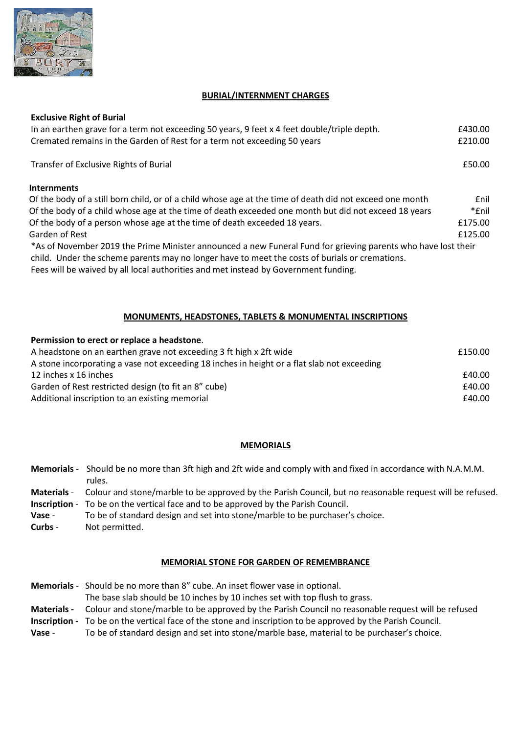

### **BURIAL/INTERNMENT CHARGES**

| <b>Exclusive Right of Burial</b>                                                                              |         |
|---------------------------------------------------------------------------------------------------------------|---------|
| In an earthen grave for a term not exceeding 50 years, 9 feet x 4 feet double/triple depth.                   | £430.00 |
| Cremated remains in the Garden of Rest for a term not exceeding 50 years                                      | £210.00 |
| Transfer of Exclusive Rights of Burial                                                                        | £50.00  |
| <b>Internments</b>                                                                                            |         |
| Of the body of a still born child, or of a child whose age at the time of death did not exceed one month      | £nil    |
| Of the body of a child whose age at the time of death exceeded one month but did not exceed 18 years          | *£nil   |
| Of the body of a person whose age at the time of death exceeded 18 years.                                     | £175.00 |
| Garden of Rest                                                                                                | £125.00 |
| *As of November 2019 the Prime Minister announced a new Funeral Fund for grieving parents who have lost their |         |
| child. Under the scheme parents may no longer have to meet the costs of burials or cremations.                |         |
| Fees will be waived by all local authorities and met instead by Government funding.                           |         |

#### **MONUMENTS, HEADSTONES, TABLETS & MONUMENTAL INSCRIPTIONS**

| Permission to erect or replace a headstone.                                                 |         |
|---------------------------------------------------------------------------------------------|---------|
| A headstone on an earthen grave not exceeding 3 ft high x 2ft wide                          | £150.00 |
| A stone incorporating a vase not exceeding 18 inches in height or a flat slab not exceeding |         |
| 12 inches x 16 inches                                                                       | £40.00  |
| Garden of Rest restricted design (to fit an 8" cube)                                        | £40.00  |
| Additional inscription to an existing memorial                                              | £40.00  |

#### **MEMORIALS**

| <b>Memorials -</b> | Should be no more than 3ft high and 2ft wide and comply with and fixed in accordance with N.A.M.M.<br>rules. |
|--------------------|--------------------------------------------------------------------------------------------------------------|
| <b>Materials -</b> | Colour and stone/marble to be approved by the Parish Council, but no reasonable request will be refused.     |
|                    | <b>Inscription</b> - To be on the vertical face and to be approved by the Parish Council.                    |
| Vase -             | To be of standard design and set into stone/marble to be purchaser's choice.                                 |
| Curbs -            | Not permitted.                                                                                               |

### **MEMORIAL STONE FOR GARDEN OF REMEMBRANCE**

|                    | <b>Memorials</b> - Should be no more than 8" cube. An inset flower vase in optional.                        |
|--------------------|-------------------------------------------------------------------------------------------------------------|
|                    | The base slab should be 10 inches by 10 inches set with top flush to grass.                                 |
| <b>Materials -</b> | Colour and stone/marble to be approved by the Parish Council no reasonable request will be refused          |
|                    | Inscription - To be on the vertical face of the stone and inscription to be approved by the Parish Council. |
| Vase -             | To be of standard design and set into stone/marble base, material to be purchaser's choice.                 |